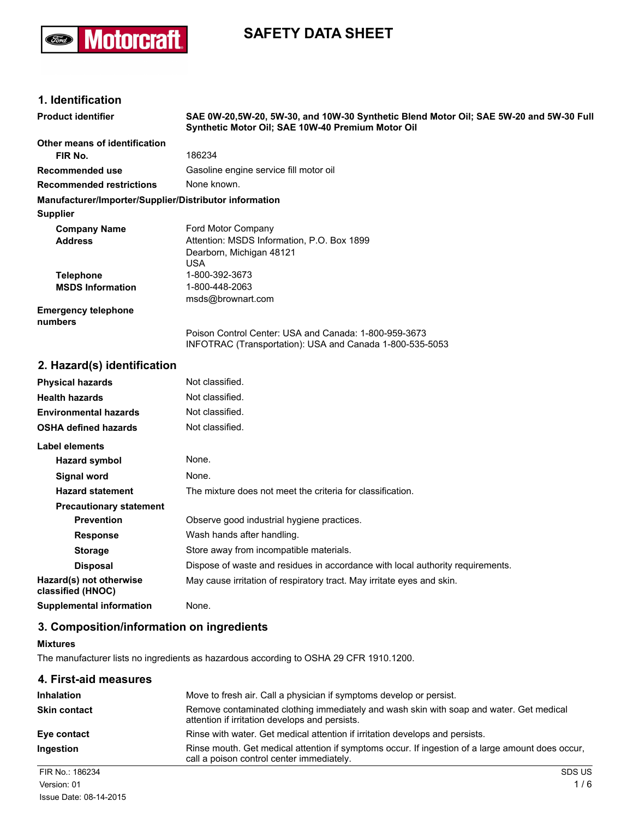

# **SAFETY DATA SHEET**

### **1. Identification**

| <b>Product identifier</b>                              | SAE 0W-20,5W-20, 5W-30, and 10W-30 Synthetic Blend Motor Oil; SAE 5W-20 and 5W-30 Full<br>Synthetic Motor Oil; SAE 10W-40 Premium Motor Oil |
|--------------------------------------------------------|---------------------------------------------------------------------------------------------------------------------------------------------|
| Other means of identification                          |                                                                                                                                             |
| FIR No.                                                | 186234                                                                                                                                      |
| Recommended use                                        | Gasoline engine service fill motor oil                                                                                                      |
| <b>Recommended restrictions</b>                        | None known.                                                                                                                                 |
| Manufacturer/Importer/Supplier/Distributor information |                                                                                                                                             |
| Supplier                                               |                                                                                                                                             |
| <b>Company Name</b>                                    | Ford Motor Company                                                                                                                          |
| <b>Address</b>                                         | Attention: MSDS Information, P.O. Box 1899                                                                                                  |
|                                                        | Dearborn, Michigan 48121<br><b>USA</b>                                                                                                      |
| <b>Telephone</b>                                       | 1-800-392-3673                                                                                                                              |
| <b>MSDS Information</b>                                | 1-800-448-2063                                                                                                                              |
|                                                        | msds@brownart.com                                                                                                                           |
| <b>Emergency telephone</b><br>numbers                  |                                                                                                                                             |
|                                                        | Poison Control Center: USA and Canada: 1-800-959-3673<br>INFOTRAC (Transportation): USA and Canada 1-800-535-5053                           |
| 2. Hazard(s) identification                            |                                                                                                                                             |
| <b>Physical hazards</b>                                | Not classified.                                                                                                                             |
| <b>Health hazards</b>                                  | Not classified.                                                                                                                             |
| Environmental hazards                                  | Not classified.                                                                                                                             |
| OSHA defined hazards                                   | Not classified.                                                                                                                             |
| <b>Label elements</b>                                  |                                                                                                                                             |
| <b>Hazard symbol</b>                                   | None.                                                                                                                                       |
| Signal word                                            | None.                                                                                                                                       |
| <b>Hazard statement</b>                                | The mixture does not meet the criteria for classification.                                                                                  |
| <b>Precautionary statement</b>                         |                                                                                                                                             |
| <b>Prevention</b>                                      | Observe good industrial hygiene practices.                                                                                                  |
| <b>Response</b>                                        | Wash hands after handling.                                                                                                                  |
| <b>Storage</b>                                         | Store away from incompatible materials.                                                                                                     |
| <b>Disposal</b>                                        | Dispose of waste and residues in accordance with local authority requirements.                                                              |
| Hazard(s) not otherwise<br>classified (HNOC)           | May cause irritation of respiratory tract. May irritate eyes and skin.                                                                      |
| <b>Supplemental information</b>                        | None.                                                                                                                                       |
|                                                        |                                                                                                                                             |

# **3. Composition/information on ingredients**

#### **Mixtures**

The manufacturer lists no ingredients as hazardous according to OSHA 29 CFR 1910.1200.

| 4. First-aid measures |                                                                                                                                               |
|-----------------------|-----------------------------------------------------------------------------------------------------------------------------------------------|
| <b>Inhalation</b>     | Move to fresh air. Call a physician if symptoms develop or persist.                                                                           |
| <b>Skin contact</b>   | Remove contaminated clothing immediately and wash skin with soap and water. Get medical<br>attention if irritation develops and persists.     |
| Eye contact           | Rinse with water. Get medical attention if irritation develops and persists.                                                                  |
| Ingestion             | Rinse mouth. Get medical attention if symptoms occur. If ingestion of a large amount does occur.<br>call a poison control center immediately. |
| FIR No.: 186234       | <b>SDS US</b>                                                                                                                                 |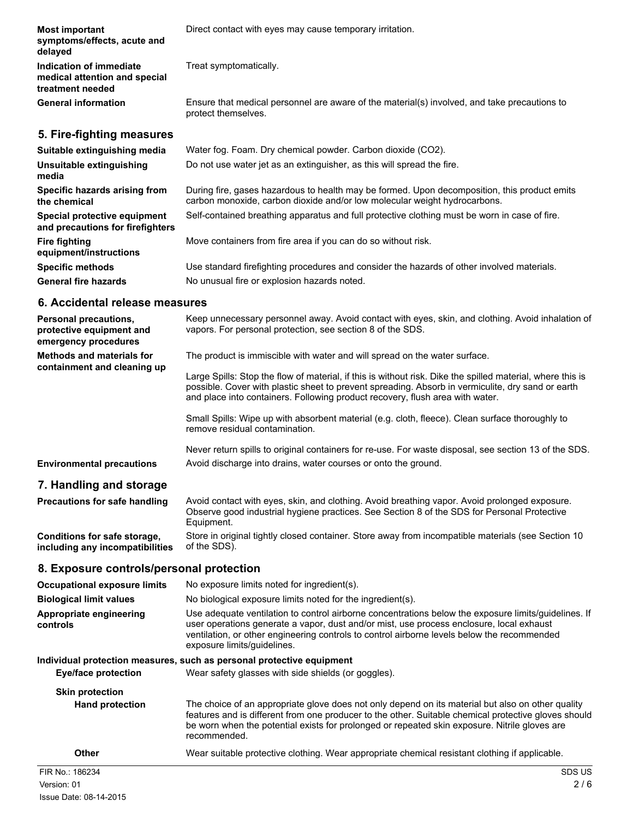| <b>Most important</b><br>symptoms/effects, acute and<br>delayed              | Direct contact with eyes may cause temporary irritation.                                                                                                                  |
|------------------------------------------------------------------------------|---------------------------------------------------------------------------------------------------------------------------------------------------------------------------|
| Indication of immediate<br>medical attention and special<br>treatment needed | Treat symptomatically.                                                                                                                                                    |
| <b>General information</b>                                                   | Ensure that medical personnel are aware of the material(s) involved, and take precautions to<br>protect themselves.                                                       |
| 5. Fire-fighting measures                                                    |                                                                                                                                                                           |
| Suitable extinguishing media                                                 | Water fog. Foam. Dry chemical powder. Carbon dioxide (CO2).                                                                                                               |
| Unsuitable extinguishing<br>media                                            | Do not use water jet as an extinguisher, as this will spread the fire.                                                                                                    |
| Specific hazards arising from<br>the chemical                                | During fire, gases hazardous to health may be formed. Upon decomposition, this product emits<br>carbon monoxide, carbon dioxide and/or low molecular weight hydrocarbons. |
| Special protective equipment<br>and precautions for firefighters             | Self-contained breathing apparatus and full protective clothing must be worn in case of fire.                                                                             |
| <b>Fire fighting</b><br>equipment/instructions                               | Move containers from fire area if you can do so without risk.                                                                                                             |
| <b>Specific methods</b>                                                      | Use standard firefighting procedures and consider the hazards of other involved materials.                                                                                |
| <b>General fire hazards</b>                                                  | No unusual fire or explosion hazards noted.                                                                                                                               |
|                                                                              |                                                                                                                                                                           |

# **6. Accidental release measures**

| Personal precautions,<br>protective equipment and<br>emergency procedures | Keep unnecessary personnel away. Avoid contact with eyes, skin, and clothing. Avoid inhalation of<br>vapors. For personal protection, see section 8 of the SDS.                                                                                                                                                                |
|---------------------------------------------------------------------------|--------------------------------------------------------------------------------------------------------------------------------------------------------------------------------------------------------------------------------------------------------------------------------------------------------------------------------|
| <b>Methods and materials for</b>                                          | The product is immiscible with water and will spread on the water surface.                                                                                                                                                                                                                                                     |
| containment and cleaning up                                               | Large Spills: Stop the flow of material, if this is without risk. Dike the spilled material, where this is<br>possible. Cover with plastic sheet to prevent spreading. Absorb in vermiculite, dry sand or earth<br>and place into containers. Following product recovery, flush area with water.                               |
|                                                                           | Small Spills: Wipe up with absorbent material (e.g. cloth, fleece). Clean surface thoroughly to<br>remove residual contamination.                                                                                                                                                                                              |
|                                                                           | Never return spills to original containers for re-use. For waste disposal, see section 13 of the SDS.                                                                                                                                                                                                                          |
| <b>Environmental precautions</b>                                          | Avoid discharge into drains, water courses or onto the ground.                                                                                                                                                                                                                                                                 |
| 7. Handling and storage                                                   |                                                                                                                                                                                                                                                                                                                                |
| <b>Precautions for safe handling</b>                                      | Avoid contact with eyes, skin, and clothing. Avoid breathing vapor. Avoid prolonged exposure.<br>Observe good industrial hygiene practices. See Section 8 of the SDS for Personal Protective<br>Equipment.                                                                                                                     |
| Conditions for safe storage,<br>including any incompatibilities           | Store in original tightly closed container. Store away from incompatible materials (see Section 10<br>of the SDS).                                                                                                                                                                                                             |
| 8. Exposure controls/personal protection                                  |                                                                                                                                                                                                                                                                                                                                |
| <b>Occupational exposure limits</b>                                       | No exposure limits noted for ingredient(s).                                                                                                                                                                                                                                                                                    |
| <b>Biological limit values</b>                                            | No biological exposure limits noted for the ingredient(s).                                                                                                                                                                                                                                                                     |
| Appropriate engineering<br>controls                                       | Use adequate ventilation to control airborne concentrations below the exposure limits/guidelines. If<br>user operations generate a vapor, dust and/or mist, use process enclosure, local exhaust<br>ventilation, or other engineering controls to control airborne levels below the recommended<br>exposure limits/guidelines. |
|                                                                           | Individual protection measures, such as personal protective equipment                                                                                                                                                                                                                                                          |
| <b>Eye/face protection</b>                                                | Wear safety glasses with side shields (or goggles).                                                                                                                                                                                                                                                                            |

| <b>Skin protection</b><br><b>Hand protection</b> | The choice of an appropriate glove does not only depend on its material but also on other quality<br>features and is different from one producer to the other. Suitable chemical protective gloves should<br>be worn when the potential exists for prolonged or repeated skin exposure. Nitrile gloves are<br>recommended. |
|--------------------------------------------------|----------------------------------------------------------------------------------------------------------------------------------------------------------------------------------------------------------------------------------------------------------------------------------------------------------------------------|
| Other                                            | Wear suitable protective clothing. Wear appropriate chemical resistant clothing if applicable.                                                                                                                                                                                                                             |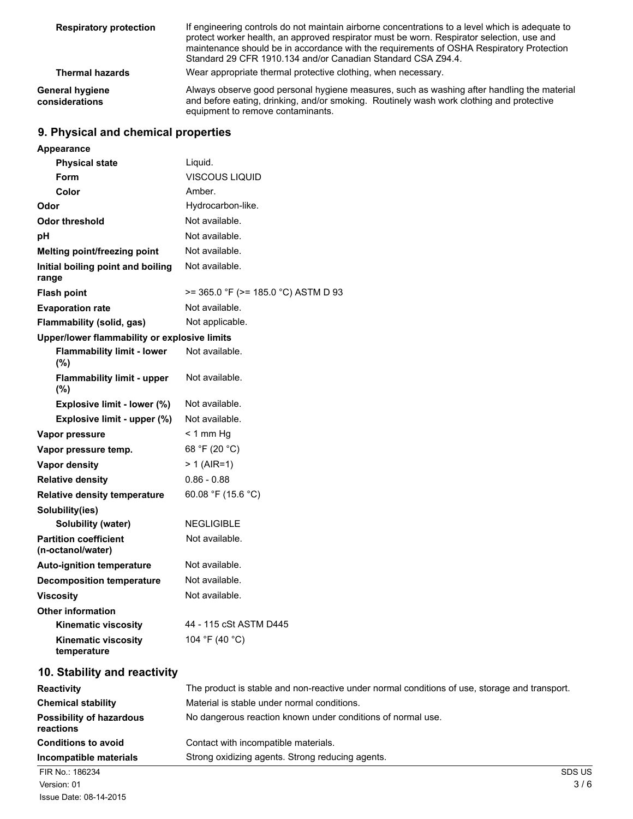| <b>Respiratory protection</b>     | If engineering controls do not maintain airborne concentrations to a level which is adequate to<br>protect worker health, an approved respirator must be worn. Respirator selection, use and<br>maintenance should be in accordance with the requirements of OSHA Respiratory Protection<br>Standard 29 CFR 1910.134 and/or Canadian Standard CSA Z94.4. |
|-----------------------------------|----------------------------------------------------------------------------------------------------------------------------------------------------------------------------------------------------------------------------------------------------------------------------------------------------------------------------------------------------------|
| <b>Thermal hazards</b>            | Wear appropriate thermal protective clothing, when necessary.                                                                                                                                                                                                                                                                                            |
| General hygiene<br>considerations | Always observe good personal hygiene measures, such as washing after handling the material<br>and before eating, drinking, and/or smoking. Routinely wash work clothing and protective<br>equipment to remove contaminants.                                                                                                                              |

# **9. Physical and chemical properties**

| Appearance                                        |                                                                                               |
|---------------------------------------------------|-----------------------------------------------------------------------------------------------|
| <b>Physical state</b>                             | Liquid.                                                                                       |
| Form                                              | VISCOUS LIQUID                                                                                |
| Color                                             | Amber.                                                                                        |
| Odor                                              | Hydrocarbon-like.                                                                             |
| <b>Odor threshold</b>                             | Not available.                                                                                |
| рH                                                | Not available.                                                                                |
| Melting point/freezing point                      | Not available.                                                                                |
| Initial boiling point and boiling<br>range        | Not available.                                                                                |
| <b>Flash point</b>                                | $>= 365.0$ °F ( $>= 185.0$ °C) ASTM D 93                                                      |
| <b>Evaporation rate</b>                           | Not available.                                                                                |
| Flammability (solid, gas)                         | Not applicable.                                                                               |
| Upper/lower flammability or explosive limits      |                                                                                               |
| <b>Flammability limit - lower</b><br>(%)          | Not available.                                                                                |
| <b>Flammability limit - upper</b><br>(%)          | Not available.                                                                                |
| Explosive limit - lower (%)                       | Not available.                                                                                |
| Explosive limit - upper (%)                       | Not available.                                                                                |
| Vapor pressure                                    | $< 1$ mm Hg                                                                                   |
| Vapor pressure temp.                              | 68 °F (20 °C)                                                                                 |
| Vapor density                                     | $> 1$ (AIR=1)                                                                                 |
| <b>Relative density</b>                           | $0.86 - 0.88$                                                                                 |
| <b>Relative density temperature</b>               | 60.08 °F (15.6 °C)                                                                            |
| Solubility(ies)                                   |                                                                                               |
| <b>Solubility (water)</b>                         | <b>NEGLIGIBLE</b>                                                                             |
| <b>Partition coefficient</b><br>(n-octanol/water) | Not available.                                                                                |
| <b>Auto-ignition temperature</b>                  | Not available.                                                                                |
| <b>Decomposition temperature</b>                  | Not available.                                                                                |
| <b>Viscosity</b>                                  | Not available.                                                                                |
| <b>Other information</b>                          |                                                                                               |
| <b>Kinematic viscosity</b>                        | 44 - 115 cSt ASTM D445                                                                        |
| <b>Kinematic viscosity</b><br>temperature         | 104 °F (40 °C)                                                                                |
| 10. Stability and reactivity                      |                                                                                               |
| <b>Reactivity</b>                                 | The product is stable and non-reactive under normal conditions of use, storage and transport. |
| <b>Chemical stability</b>                         | Material is stable under normal conditions.                                                   |
| <b>Possibility of hazardous</b><br>reactions      | No dangerous reaction known under conditions of normal use.                                   |
| <b>Conditions to avoid</b>                        | Contact with incompatible materials.                                                          |
| Incompatible materials                            | Strong oxidizing agents. Strong reducing agents.                                              |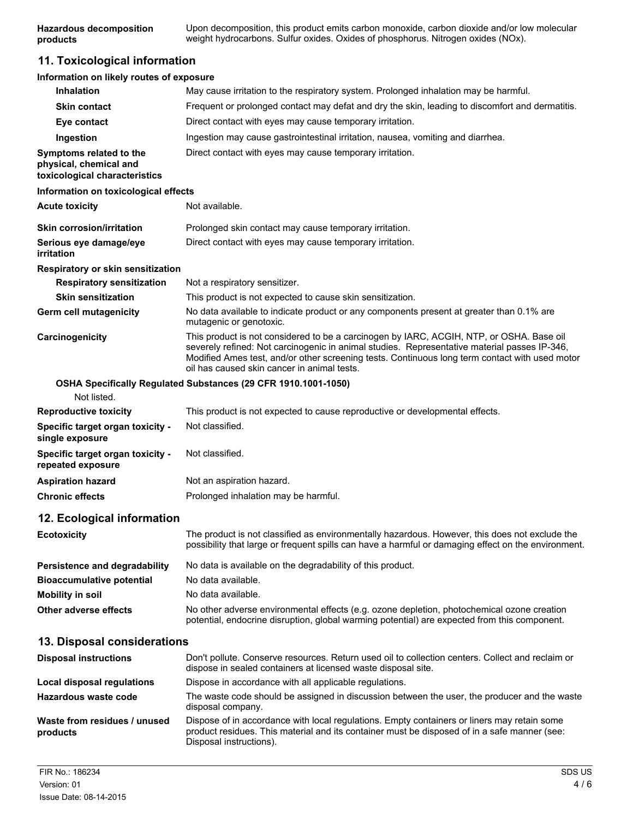**Hazardous decomposition products** Upon decomposition, this product emits carbon monoxide, carbon dioxide and/or low molecular weight hydrocarbons. Sulfur oxides. Oxides of phosphorus. Nitrogen oxides (NOx).

### **11. Toxicological information**

| Information on likely routes of exposure                                           |                                                                                                                                                                                                                                                                                                                                           |
|------------------------------------------------------------------------------------|-------------------------------------------------------------------------------------------------------------------------------------------------------------------------------------------------------------------------------------------------------------------------------------------------------------------------------------------|
| <b>Inhalation</b>                                                                  | May cause irritation to the respiratory system. Prolonged inhalation may be harmful.                                                                                                                                                                                                                                                      |
| <b>Skin contact</b>                                                                | Frequent or prolonged contact may defat and dry the skin, leading to discomfort and dermatitis.                                                                                                                                                                                                                                           |
| Eye contact                                                                        | Direct contact with eyes may cause temporary irritation.                                                                                                                                                                                                                                                                                  |
| Ingestion                                                                          | Ingestion may cause gastrointestinal irritation, nausea, vomiting and diarrhea.                                                                                                                                                                                                                                                           |
| Symptoms related to the<br>physical, chemical and<br>toxicological characteristics | Direct contact with eyes may cause temporary irritation.                                                                                                                                                                                                                                                                                  |
| Information on toxicological effects                                               |                                                                                                                                                                                                                                                                                                                                           |
| <b>Acute toxicity</b>                                                              | Not available.                                                                                                                                                                                                                                                                                                                            |
| <b>Skin corrosion/irritation</b>                                                   | Prolonged skin contact may cause temporary irritation.                                                                                                                                                                                                                                                                                    |
| Serious eye damage/eye<br>irritation                                               | Direct contact with eyes may cause temporary irritation.                                                                                                                                                                                                                                                                                  |
| Respiratory or skin sensitization                                                  |                                                                                                                                                                                                                                                                                                                                           |
| <b>Respiratory sensitization</b>                                                   | Not a respiratory sensitizer.                                                                                                                                                                                                                                                                                                             |
| <b>Skin sensitization</b>                                                          | This product is not expected to cause skin sensitization.                                                                                                                                                                                                                                                                                 |
| <b>Germ cell mutagenicity</b>                                                      | No data available to indicate product or any components present at greater than 0.1% are<br>mutagenic or genotoxic.                                                                                                                                                                                                                       |
| Carcinogenicity                                                                    | This product is not considered to be a carcinogen by IARC, ACGIH, NTP, or OSHA. Base oil<br>severely refined: Not carcinogenic in animal studies. Representative material passes IP-346,<br>Modified Ames test, and/or other screening tests. Continuous long term contact with used motor<br>oil has caused skin cancer in animal tests. |
| Not listed.                                                                        | OSHA Specifically Regulated Substances (29 CFR 1910.1001-1050)                                                                                                                                                                                                                                                                            |
| <b>Reproductive toxicity</b>                                                       | This product is not expected to cause reproductive or developmental effects.                                                                                                                                                                                                                                                              |
| Specific target organ toxicity -<br>single exposure                                | Not classified.                                                                                                                                                                                                                                                                                                                           |
| Specific target organ toxicity -<br>repeated exposure                              | Not classified.                                                                                                                                                                                                                                                                                                                           |
| <b>Aspiration hazard</b>                                                           | Not an aspiration hazard.                                                                                                                                                                                                                                                                                                                 |
| <b>Chronic effects</b>                                                             | Prolonged inhalation may be harmful.                                                                                                                                                                                                                                                                                                      |
| 12. Ecological information                                                         |                                                                                                                                                                                                                                                                                                                                           |
| <b>Ecotoxicity</b>                                                                 | The product is not classified as environmentally hazardous. However, this does not exclude the<br>possibility that large or frequent spills can have a harmful or damaging effect on the environment.                                                                                                                                     |
| Persistence and degradability                                                      | No data is available on the degradability of this product.                                                                                                                                                                                                                                                                                |
| <b>Bioaccumulative potential</b>                                                   | No data available.                                                                                                                                                                                                                                                                                                                        |
| <b>Mobility in soil</b>                                                            | No data available.                                                                                                                                                                                                                                                                                                                        |
| <b>Other adverse effects</b>                                                       | No other adverse environmental effects (e.g. ozone depletion, photochemical ozone creation<br>potential, endocrine disruption, global warming potential) are expected from this component.                                                                                                                                                |
| 13. Disposal considerations                                                        |                                                                                                                                                                                                                                                                                                                                           |
| <b>Disposal instructions</b>                                                       | Don't pollute. Conserve resources. Return used oil to collection centers. Collect and reclaim or<br>dispose in sealed containers at licensed waste disposal site.                                                                                                                                                                         |
| <b>Local disposal regulations</b>                                                  | Dispose in accordance with all applicable regulations.                                                                                                                                                                                                                                                                                    |
| Hazardous waste code                                                               | The waste code should be assigned in discussion between the user, the producer and the waste<br>disposal company.                                                                                                                                                                                                                         |
| Waste from residues / unused<br>products                                           | Dispose of in accordance with local regulations. Empty containers or liners may retain some<br>product residues. This material and its container must be disposed of in a safe manner (see:                                                                                                                                               |

Disposal instructions).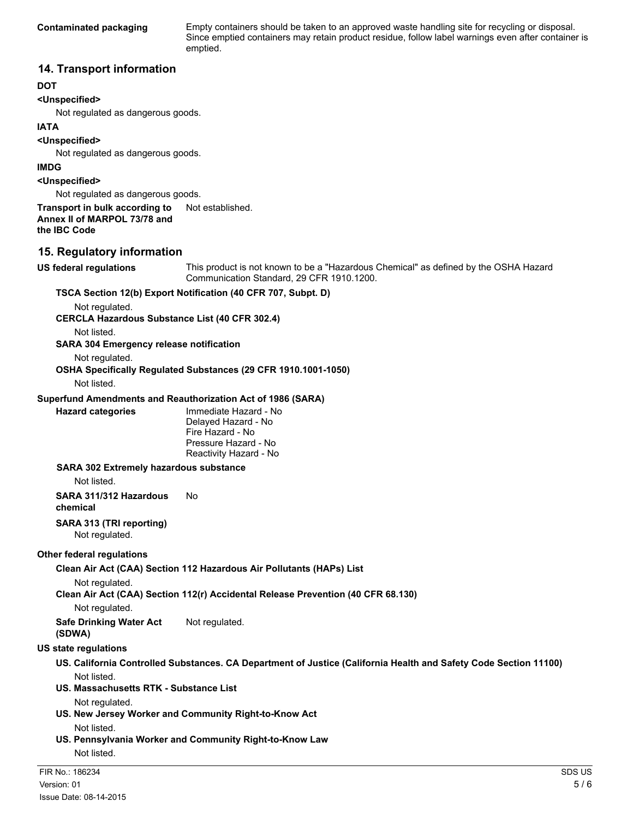**Contaminated packaging** Empty containers should be taken to an approved waste handling site for recycling or disposal. Since emptied containers may retain product residue, follow label warnings even after container is emptied.

### **14. Transport information**

### **DOT**

### **<Unspecified>**

Not regulated as dangerous goods.

### **IATA**

**<Unspecified>**

Not regulated as dangerous goods.

#### **IMDG**

**<Unspecified>**

Not regulated as dangerous goods.

#### **Transport in bulk according to** Not established. **Annex II of MARPOL 73/78 and the IBC Code**

### **15. Regulatory information**

**US federal regulations** This product is not known to be a "Hazardous Chemical" as defined by the OSHA Hazard Communication Standard, 29 CFR 1910.1200. **TSCA Section 12(b) Export Notification (40 CFR 707, Subpt. D)**

Not regulated.

**CERCLA Hazardous Substance List (40 CFR 302.4)**

Not listed.

**SARA 304 Emergency release notification**

Not regulated.

**OSHA Specifically Regulated Substances (29 CFR 1910.1001-1050)**

Not listed.

#### **Superfund Amendments and Reauthorization Act of 1986 (SARA)**

**Hazard categories** Immediate Hazard - No Delayed Hazard - No Fire Hazard - No Pressure Hazard - No Reactivity Hazard - No

#### **SARA 302 Extremely hazardous substance**

Not listed.

**SARA 311/312 Hazardous chemical** No

## **SARA 313 (TRI reporting)**

Not regulated.

### **Other federal regulations**

**Clean Air Act (CAA) Section 112 Hazardous Air Pollutants (HAPs) List**

Not regulated.

**Clean Air Act (CAA) Section 112(r) Accidental Release Prevention (40 CFR 68.130)**

Not regulated.

**Safe Drinking Water Act (SDWA)** Not regulated.

### **US state regulations**

- **US. California Controlled Substances. CA Department of Justice (California Health and Safety Code Section 11100)** Not listed.
- **US. Massachusetts RTK Substance List**

Not regulated.

**US. New Jersey Worker and Community Right-to-Know Act**

Not listed.

**US. Pennsylvania Worker and Community Right-to-Know Law** Not listed.